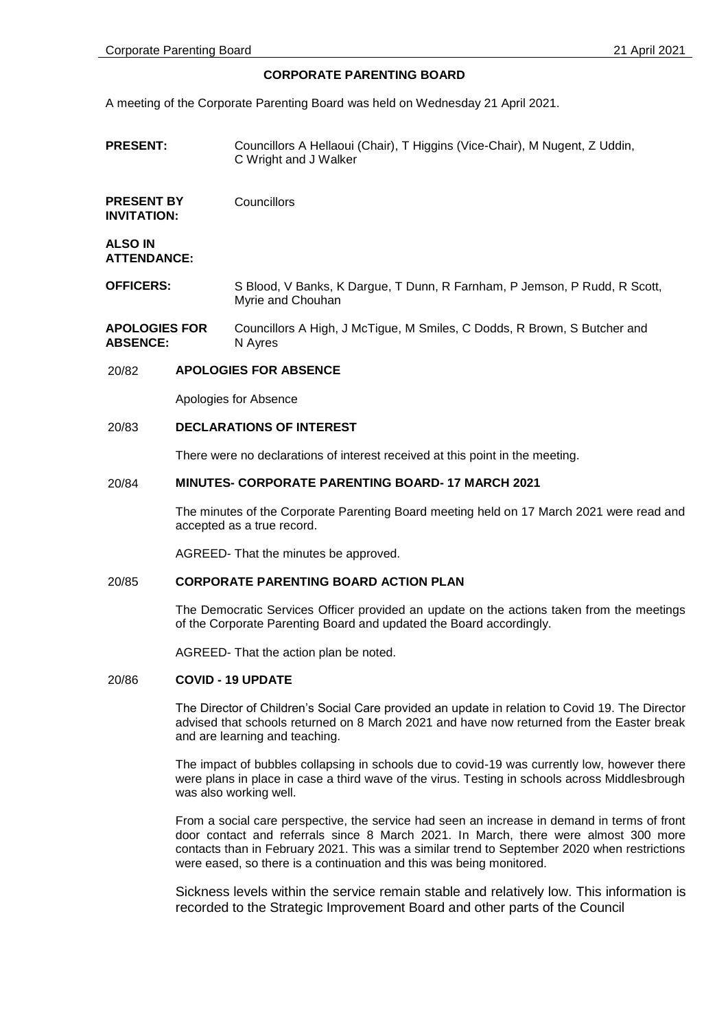# **CORPORATE PARENTING BOARD**

A meeting of the Corporate Parenting Board was held on Wednesday 21 April 2021.

**PRESENT:** Councillors A Hellaoui (Chair), T Higgins (Vice-Chair), M Nugent, Z Uddin, C Wright and J Walker

**PRESENT BY INVITATION: Councillors** 

**ALSO IN ATTENDANCE:**

- **OFFICERS:** S Blood, V Banks, K Dargue, T Dunn, R Farnham, P Jemson, P Rudd, R Scott, Myrie and Chouhan
- **APOLOGIES FOR ABSENCE:** Councillors A High, J McTigue, M Smiles, C Dodds, R Brown, S Butcher and N Ayres

# 20/82 **APOLOGIES FOR ABSENCE**

Apologies for Absence

# 20/83 **DECLARATIONS OF INTEREST**

There were no declarations of interest received at this point in the meeting.

# 20/84 **MINUTES- CORPORATE PARENTING BOARD- 17 MARCH 2021**

The minutes of the Corporate Parenting Board meeting held on 17 March 2021 were read and accepted as a true record.

AGREED- That the minutes be approved.

# 20/85 **CORPORATE PARENTING BOARD ACTION PLAN**

The Democratic Services Officer provided an update on the actions taken from the meetings of the Corporate Parenting Board and updated the Board accordingly.

AGREED- That the action plan be noted.

## 20/86 **COVID - 19 UPDATE**

The Director of Children's Social Care provided an update in relation to Covid 19. The Director advised that schools returned on 8 March 2021 and have now returned from the Easter break and are learning and teaching.

The impact of bubbles collapsing in schools due to covid-19 was currently low, however there were plans in place in case a third wave of the virus. Testing in schools across Middlesbrough was also working well.

From a social care perspective, the service had seen an increase in demand in terms of front door contact and referrals since 8 March 2021. In March, there were almost 300 more contacts than in February 2021. This was a similar trend to September 2020 when restrictions were eased, so there is a continuation and this was being monitored.

Sickness levels within the service remain stable and relatively low. This information is recorded to the Strategic Improvement Board and other parts of the Council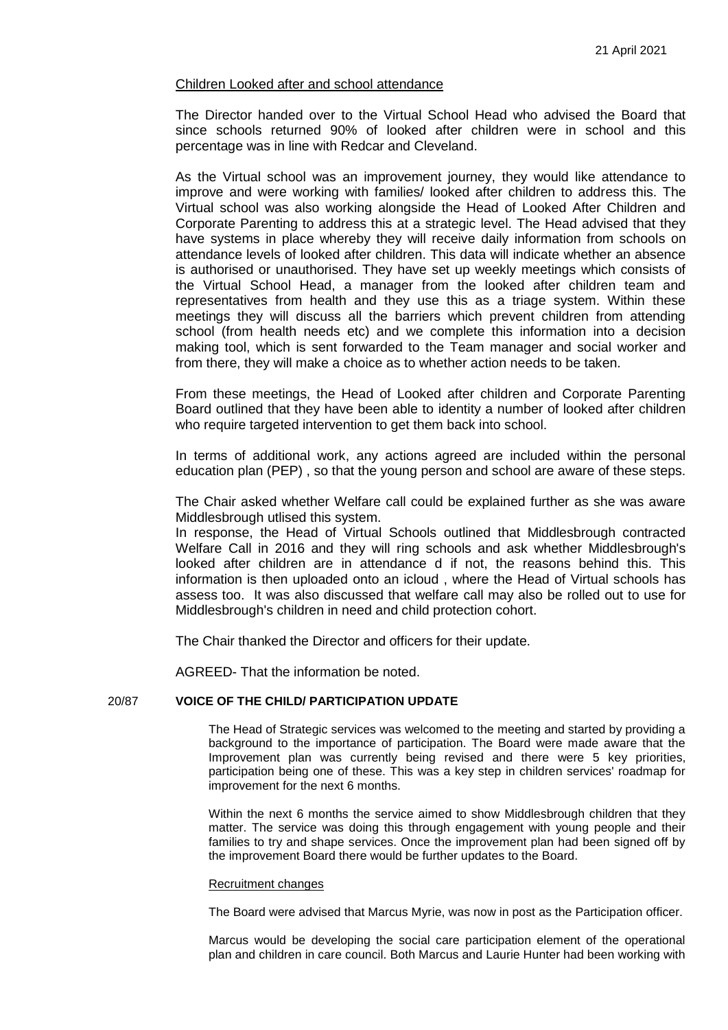# Children Looked after and school attendance

The Director handed over to the Virtual School Head who advised the Board that since schools returned 90% of looked after children were in school and this percentage was in line with Redcar and Cleveland.

As the Virtual school was an improvement journey, they would like attendance to improve and were working with families/ looked after children to address this. The Virtual school was also working alongside the Head of Looked After Children and Corporate Parenting to address this at a strategic level. The Head advised that they have systems in place whereby they will receive daily information from schools on attendance levels of looked after children. This data will indicate whether an absence is authorised or unauthorised. They have set up weekly meetings which consists of the Virtual School Head, a manager from the looked after children team and representatives from health and they use this as a triage system. Within these meetings they will discuss all the barriers which prevent children from attending school (from health needs etc) and we complete this information into a decision making tool, which is sent forwarded to the Team manager and social worker and from there, they will make a choice as to whether action needs to be taken.

From these meetings, the Head of Looked after children and Corporate Parenting Board outlined that they have been able to identity a number of looked after children who require targeted intervention to get them back into school.

In terms of additional work, any actions agreed are included within the personal education plan (PEP) , so that the young person and school are aware of these steps.

The Chair asked whether Welfare call could be explained further as she was aware Middlesbrough utlised this system.

In response, the Head of Virtual Schools outlined that Middlesbrough contracted Welfare Call in 2016 and they will ring schools and ask whether Middlesbrough's looked after children are in attendance d if not, the reasons behind this. This information is then uploaded onto an icloud , where the Head of Virtual schools has assess too. It was also discussed that welfare call may also be rolled out to use for Middlesbrough's children in need and child protection cohort.

The Chair thanked the Director and officers for their update.

AGREED- That the information be noted.

# 20/87 **VOICE OF THE CHILD/ PARTICIPATION UPDATE**

The Head of Strategic services was welcomed to the meeting and started by providing a background to the importance of participation. The Board were made aware that the Improvement plan was currently being revised and there were 5 key priorities, participation being one of these. This was a key step in children services' roadmap for improvement for the next 6 months.

Within the next 6 months the service aimed to show Middlesbrough children that they matter. The service was doing this through engagement with young people and their families to try and shape services. Once the improvement plan had been signed off by the improvement Board there would be further updates to the Board.

## Recruitment changes

The Board were advised that Marcus Myrie, was now in post as the Participation officer.

Marcus would be developing the social care participation element of the operational plan and children in care council. Both Marcus and Laurie Hunter had been working with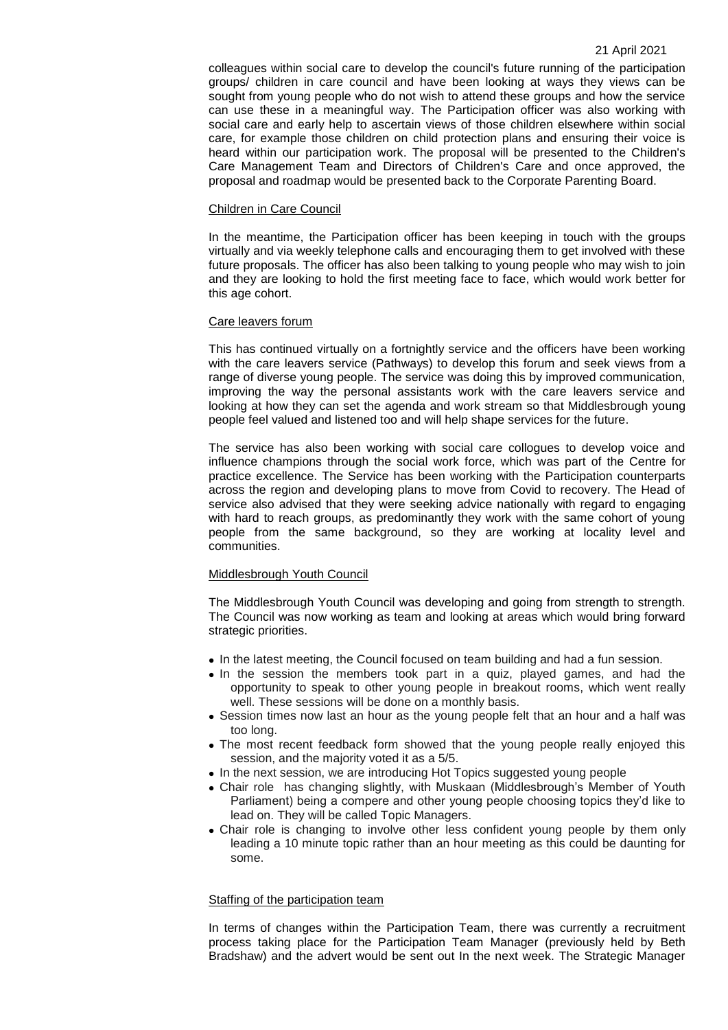colleagues within social care to develop the council's future running of the participation groups/ children in care council and have been looking at ways they views can be sought from young people who do not wish to attend these groups and how the service can use these in a meaningful way. The Participation officer was also working with social care and early help to ascertain views of those children elsewhere within social care, for example those children on child protection plans and ensuring their voice is heard within our participation work. The proposal will be presented to the Children's Care Management Team and Directors of Children's Care and once approved, the proposal and roadmap would be presented back to the Corporate Parenting Board.

## Children in Care Council

In the meantime, the Participation officer has been keeping in touch with the groups virtually and via weekly telephone calls and encouraging them to get involved with these future proposals. The officer has also been talking to young people who may wish to join and they are looking to hold the first meeting face to face, which would work better for this age cohort.

## Care leavers forum

This has continued virtually on a fortnightly service and the officers have been working with the care leavers service (Pathways) to develop this forum and seek views from a range of diverse young people. The service was doing this by improved communication, improving the way the personal assistants work with the care leavers service and looking at how they can set the agenda and work stream so that Middlesbrough young people feel valued and listened too and will help shape services for the future.

The service has also been working with social care collogues to develop voice and influence champions through the social work force, which was part of the Centre for practice excellence. The Service has been working with the Participation counterparts across the region and developing plans to move from Covid to recovery. The Head of service also advised that they were seeking advice nationally with regard to engaging with hard to reach groups, as predominantly they work with the same cohort of young people from the same background, so they are working at locality level and communities.

## Middlesbrough Youth Council

The Middlesbrough Youth Council was developing and going from strength to strength. The Council was now working as team and looking at areas which would bring forward strategic priorities.

- In the latest meeting, the Council focused on team building and had a fun session.
- In the session the members took part in a quiz, played games, and had the opportunity to speak to other young people in breakout rooms, which went really well. These sessions will be done on a monthly basis.
- Session times now last an hour as the young people felt that an hour and a half was too long.
- The most recent feedback form showed that the young people really enjoyed this session, and the majority voted it as a 5/5.
- In the next session, we are introducing Hot Topics suggested young people
- Chair role has changing slightly, with Muskaan (Middlesbrough's Member of Youth Parliament) being a compere and other young people choosing topics they'd like to lead on. They will be called Topic Managers.
- Chair role is changing to involve other less confident young people by them only leading a 10 minute topic rather than an hour meeting as this could be daunting for some.

## Staffing of the participation team

In terms of changes within the Participation Team, there was currently a recruitment process taking place for the Participation Team Manager (previously held by Beth Bradshaw) and the advert would be sent out In the next week. The Strategic Manager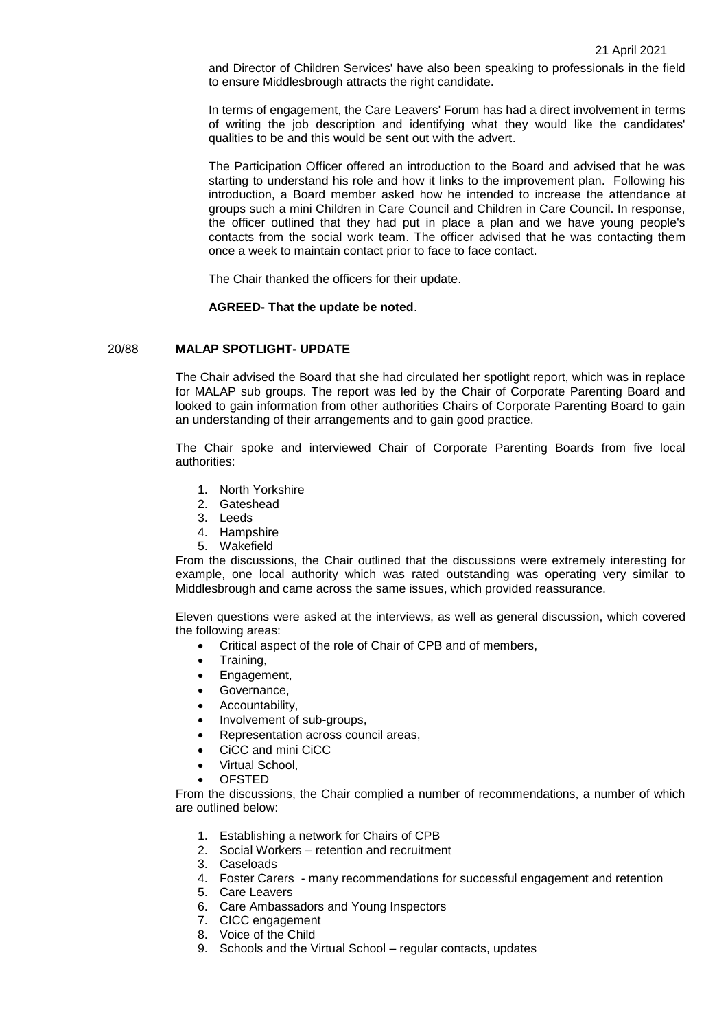and Director of Children Services' have also been speaking to professionals in the field to ensure Middlesbrough attracts the right candidate.

In terms of engagement, the Care Leavers' Forum has had a direct involvement in terms of writing the job description and identifying what they would like the candidates' qualities to be and this would be sent out with the advert.

The Participation Officer offered an introduction to the Board and advised that he was starting to understand his role and how it links to the improvement plan. Following his introduction, a Board member asked how he intended to increase the attendance at groups such a mini Children in Care Council and Children in Care Council. In response, the officer outlined that they had put in place a plan and we have young people's contacts from the social work team. The officer advised that he was contacting them once a week to maintain contact prior to face to face contact.

The Chair thanked the officers for their update.

## **AGREED- That the update be noted**.

# 20/88 **MALAP SPOTLIGHT- UPDATE**

The Chair advised the Board that she had circulated her spotlight report, which was in replace for MALAP sub groups. The report was led by the Chair of Corporate Parenting Board and looked to gain information from other authorities Chairs of Corporate Parenting Board to gain an understanding of their arrangements and to gain good practice.

The Chair spoke and interviewed Chair of Corporate Parenting Boards from five local authorities:

- 1. North Yorkshire
- 2. Gateshead
- 3. Leeds
- 4. Hampshire
- 5. Wakefield

From the discussions, the Chair outlined that the discussions were extremely interesting for example, one local authority which was rated outstanding was operating very similar to Middlesbrough and came across the same issues, which provided reassurance.

Eleven questions were asked at the interviews, as well as general discussion, which covered the following areas:

- Critical aspect of the role of Chair of CPB and of members,
- Training,
- Engagement,
- Governance,
- Accountability,
- Involvement of sub-groups,
- Representation across council areas,
- CiCC and mini CiCC
- Virtual School,
- OFSTED

From the discussions, the Chair complied a number of recommendations, a number of which are outlined below:

- 1. Establishing a network for Chairs of CPB
- 2. Social Workers retention and recruitment
- 3. Caseloads
- 4. Foster Carers many recommendations for successful engagement and retention
- 5. Care Leavers
- 6. Care Ambassadors and Young Inspectors
- 7. CICC engagement
- 8. Voice of the Child
- 9. Schools and the Virtual School regular contacts, updates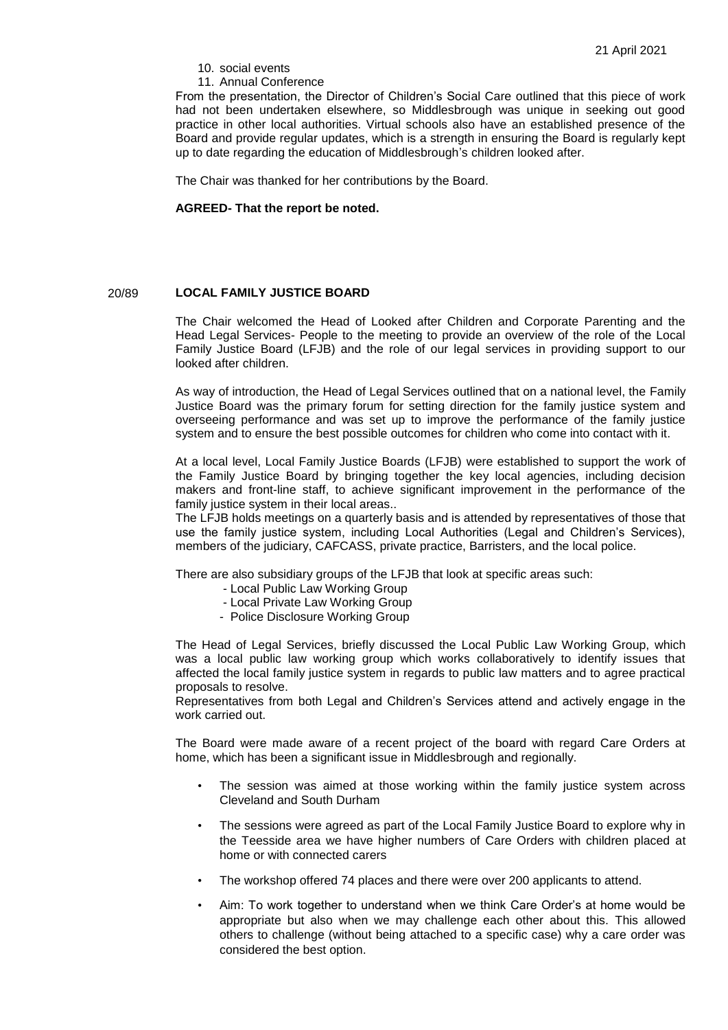### 10. social events

11. Annual Conference

From the presentation, the Director of Children's Social Care outlined that this piece of work had not been undertaken elsewhere, so Middlesbrough was unique in seeking out good practice in other local authorities. Virtual schools also have an established presence of the Board and provide regular updates, which is a strength in ensuring the Board is regularly kept up to date regarding the education of Middlesbrough's children looked after.

The Chair was thanked for her contributions by the Board.

## **AGREED- That the report be noted.**

# 20/89 **LOCAL FAMILY JUSTICE BOARD**

The Chair welcomed the Head of Looked after Children and Corporate Parenting and the Head Legal Services- People to the meeting to provide an overview of the role of the Local Family Justice Board (LFJB) and the role of our legal services in providing support to our looked after children.

As way of introduction, the Head of Legal Services outlined that on a national level, the Family Justice Board was the primary forum for setting direction for the family justice system and overseeing performance and was set up to improve the performance of the family justice system and to ensure the best possible outcomes for children who come into contact with it.

At a local level, Local Family Justice Boards (LFJB) were established to support the work of the Family Justice Board by bringing together the key local agencies, including decision makers and front-line staff, to achieve significant improvement in the performance of the family justice system in their local areas..

The LFJB holds meetings on a quarterly basis and is attended by representatives of those that use the family justice system, including Local Authorities (Legal and Children's Services), members of the judiciary, CAFCASS, private practice, Barristers, and the local police.

There are also subsidiary groups of the LFJB that look at specific areas such:

- Local Public Law Working Group
- Local Private Law Working Group
- Police Disclosure Working Group

The Head of Legal Services, briefly discussed the Local Public Law Working Group, which was a local public law working group which works collaboratively to identify issues that affected the local family justice system in regards to public law matters and to agree practical proposals to resolve.

Representatives from both Legal and Children's Services attend and actively engage in the work carried out.

The Board were made aware of a recent project of the board with regard Care Orders at home, which has been a significant issue in Middlesbrough and regionally.

- The session was aimed at those working within the family justice system across Cleveland and South Durham
- The sessions were agreed as part of the Local Family Justice Board to explore why in the Teesside area we have higher numbers of Care Orders with children placed at home or with connected carers
- The workshop offered 74 places and there were over 200 applicants to attend.
- Aim: To work together to understand when we think Care Order's at home would be appropriate but also when we may challenge each other about this. This allowed others to challenge (without being attached to a specific case) why a care order was considered the best option.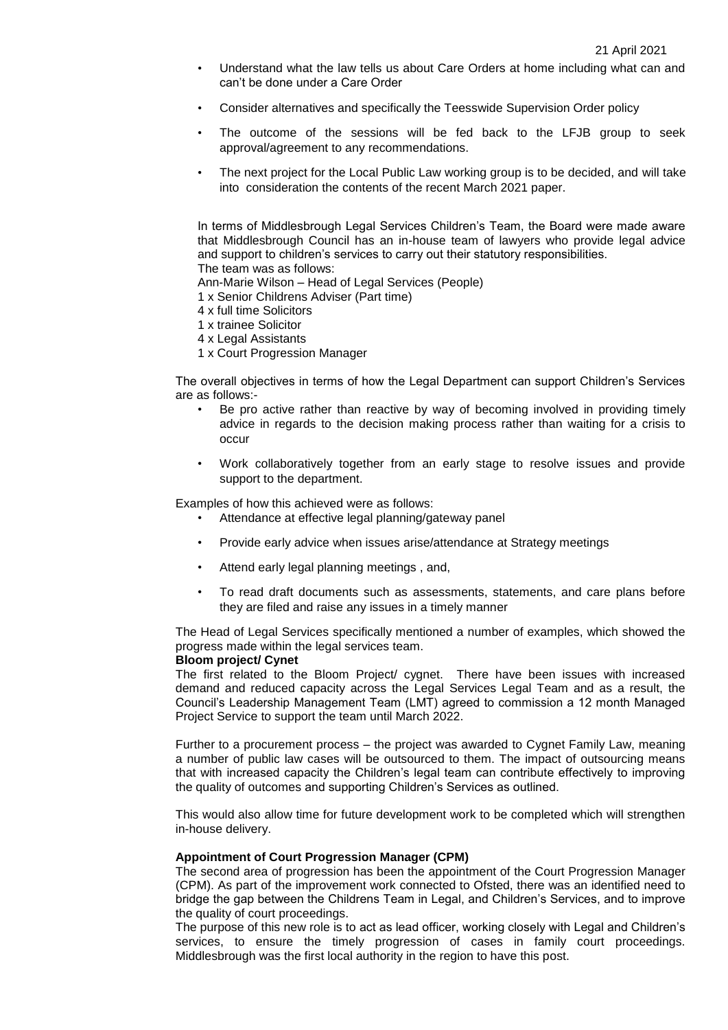- Understand what the law tells us about Care Orders at home including what can and can't be done under a Care Order
- Consider alternatives and specifically the Teesswide Supervision Order policy
- The outcome of the sessions will be fed back to the LFJB group to seek approval/agreement to any recommendations.
- The next project for the Local Public Law working group is to be decided, and will take into consideration the contents of the recent March 2021 paper.

In terms of Middlesbrough Legal Services Children's Team, the Board were made aware that Middlesbrough Council has an in-house team of lawyers who provide legal advice and support to children's services to carry out their statutory responsibilities. The team was as follows:

Ann-Marie Wilson – Head of Legal Services (People)

1 x Senior Childrens Adviser (Part time)

- 4 x full time Solicitors
- 1 x trainee Solicitor
- 4 x Legal Assistants
- 1 x Court Progression Manager

The overall objectives in terms of how the Legal Department can support Children's Services are as follows:-

- Be pro active rather than reactive by way of becoming involved in providing timely advice in regards to the decision making process rather than waiting for a crisis to occur
- Work collaboratively together from an early stage to resolve issues and provide support to the department.

Examples of how this achieved were as follows:

- Attendance at effective legal planning/gateway panel
- Provide early advice when issues arise/attendance at Strategy meetings
- Attend early legal planning meetings , and,
- To read draft documents such as assessments, statements, and care plans before they are filed and raise any issues in a timely manner

The Head of Legal Services specifically mentioned a number of examples, which showed the progress made within the legal services team.

# **Bloom project/ Cynet**

The first related to the Bloom Project/ cygnet. There have been issues with increased demand and reduced capacity across the Legal Services Legal Team and as a result, the Council's Leadership Management Team (LMT) agreed to commission a 12 month Managed Project Service to support the team until March 2022.

Further to a procurement process – the project was awarded to Cygnet Family Law, meaning a number of public law cases will be outsourced to them. The impact of outsourcing means that with increased capacity the Children's legal team can contribute effectively to improving the quality of outcomes and supporting Children's Services as outlined.

This would also allow time for future development work to be completed which will strengthen in-house delivery.

#### **Appointment of Court Progression Manager (CPM)**

The second area of progression has been the appointment of the Court Progression Manager (CPM). As part of the improvement work connected to Ofsted, there was an identified need to bridge the gap between the Childrens Team in Legal, and Children's Services, and to improve the quality of court proceedings.

The purpose of this new role is to act as lead officer, working closely with Legal and Children's services, to ensure the timely progression of cases in family court proceedings. Middlesbrough was the first local authority in the region to have this post.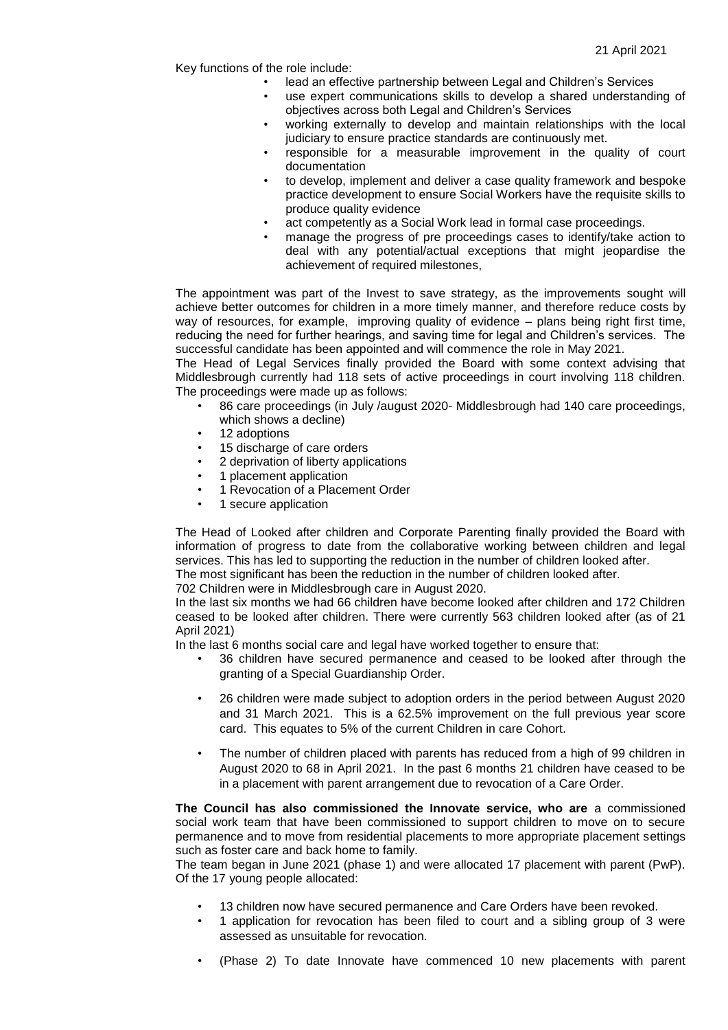Key functions of the role include:

• lead an effective partnership between Legal and Children's Services

- use expert communications skills to develop a shared understanding of objectives across both Legal and Children's Services
- working externally to develop and maintain relationships with the local judiciary to ensure practice standards are continuously met.
- responsible for a measurable improvement in the quality of court documentation
- to develop, implement and deliver a case quality framework and bespoke practice development to ensure Social Workers have the requisite skills to produce quality evidence
- act competently as a Social Work lead in formal case proceedings.
- manage the progress of pre proceedings cases to identify/take action to deal with any potential/actual exceptions that might jeopardise the achievement of required milestones,

The appointment was part of the Invest to save strategy, as the improvements sought will achieve better outcomes for children in a more timely manner, and therefore reduce costs by way of resources, for example, improving quality of evidence – plans being right first time, reducing the need for further hearings, and saving time for legal and Children's services. The successful candidate has been appointed and will commence the role in May 2021.

The Head of Legal Services finally provided the Board with some context advising that Middlesbrough currently had 118 sets of active proceedings in court involving 118 children. The proceedings were made up as follows:

- 86 care proceedings (in July /august 2020- Middlesbrough had 140 care proceedings, which shows a decline)
- 12 adoptions
- 15 discharge of care orders
- 2 deprivation of liberty applications
- 1 placement application
- 1 Revocation of a Placement Order
- 1 secure application

The Head of Looked after children and Corporate Parenting finally provided the Board with information of progress to date from the collaborative working between children and legal services. This has led to supporting the reduction in the number of children looked after. The most significant has been the reduction in the number of children looked after.

702 Children were in Middlesbrough care in August 2020.

In the last six months we had 66 children have become looked after children and 172 Children ceased to be looked after children. There were currently 563 children looked after (as of 21 April 2021)

In the last 6 months social care and legal have worked together to ensure that:

- 36 children have secured permanence and ceased to be looked after through the granting of a Special Guardianship Order.
- 26 children were made subject to adoption orders in the period between August 2020 and 31 March 2021. This is a 62.5% improvement on the full previous year score card. This equates to 5% of the current Children in care Cohort.
- The number of children placed with parents has reduced from a high of 99 children in August 2020 to 68 in April 2021. In the past 6 months 21 children have ceased to be in a placement with parent arrangement due to revocation of a Care Order.

**The Council has also commissioned the Innovate service, who are** a commissioned social work team that have been commissioned to support children to move on to secure permanence and to move from residential placements to more appropriate placement settings such as foster care and back home to family.

The team began in June 2021 (phase 1) and were allocated 17 placement with parent (PwP). Of the 17 young people allocated:

- 13 children now have secured permanence and Care Orders have been revoked.
- 1 application for revocation has been filed to court and a sibling group of 3 were assessed as unsuitable for revocation.
- (Phase 2) To date Innovate have commenced 10 new placements with parent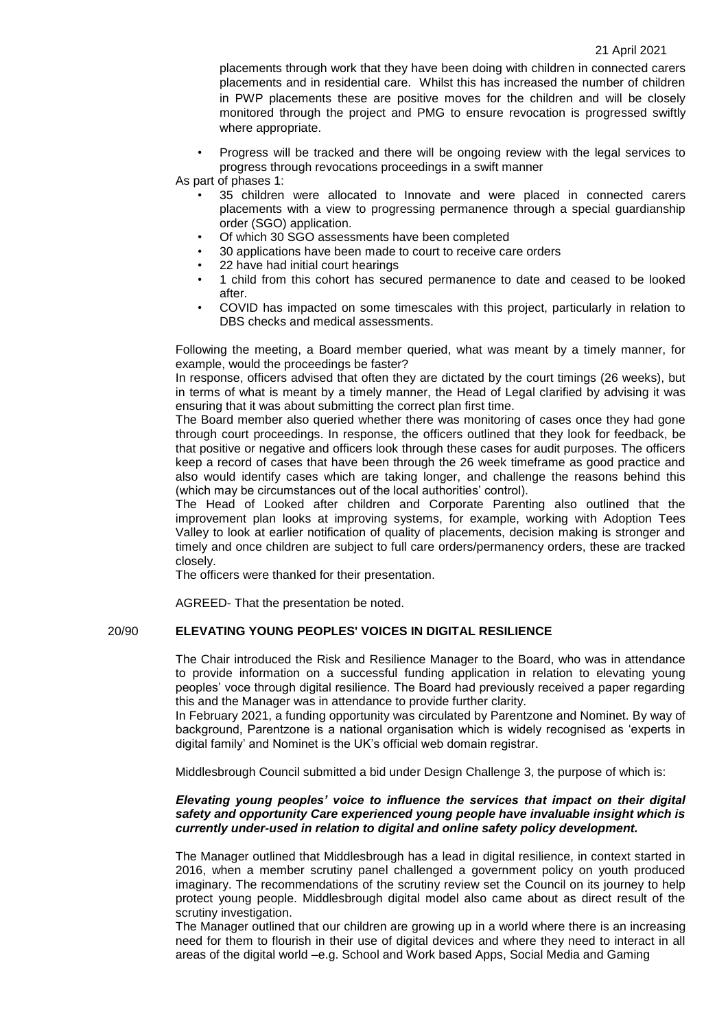placements through work that they have been doing with children in connected carers placements and in residential care. Whilst this has increased the number of children in PWP placements these are positive moves for the children and will be closely monitored through the project and PMG to ensure revocation is progressed swiftly where appropriate.

- Progress will be tracked and there will be ongoing review with the legal services to progress through revocations proceedings in a swift manner
- As part of phases 1:
	- 35 children were allocated to Innovate and were placed in connected carers placements with a view to progressing permanence through a special guardianship order (SGO) application.
	- Of which 30 SGO assessments have been completed
	- 30 applications have been made to court to receive care orders
	- 22 have had initial court hearings
	- 1 child from this cohort has secured permanence to date and ceased to be looked after.
	- COVID has impacted on some timescales with this project, particularly in relation to DBS checks and medical assessments.

Following the meeting, a Board member queried, what was meant by a timely manner, for example, would the proceedings be faster?

In response, officers advised that often they are dictated by the court timings (26 weeks), but in terms of what is meant by a timely manner, the Head of Legal clarified by advising it was ensuring that it was about submitting the correct plan first time.

The Board member also queried whether there was monitoring of cases once they had gone through court proceedings. In response, the officers outlined that they look for feedback, be that positive or negative and officers look through these cases for audit purposes. The officers keep a record of cases that have been through the 26 week timeframe as good practice and also would identify cases which are taking longer, and challenge the reasons behind this (which may be circumstances out of the local authorities' control).

The Head of Looked after children and Corporate Parenting also outlined that the improvement plan looks at improving systems, for example, working with Adoption Tees Valley to look at earlier notification of quality of placements, decision making is stronger and timely and once children are subject to full care orders/permanency orders, these are tracked closely.

The officers were thanked for their presentation.

AGREED- That the presentation be noted.

# 20/90 **ELEVATING YOUNG PEOPLES' VOICES IN DIGITAL RESILIENCE**

The Chair introduced the Risk and Resilience Manager to the Board, who was in attendance to provide information on a successful funding application in relation to elevating young peoples' voce through digital resilience. The Board had previously received a paper regarding this and the Manager was in attendance to provide further clarity.

In February 2021, a funding opportunity was circulated by Parentzone and Nominet. By way of background, Parentzone is a national organisation which is widely recognised as 'experts in digital family' and Nominet is the UK's official web domain registrar.

Middlesbrough Council submitted a bid under Design Challenge 3, the purpose of which is:

# *Elevating young peoples' voice to influence the services that impact on their digital safety and opportunity Care experienced young people have invaluable insight which is currently under-used in relation to digital and online safety policy development.*

The Manager outlined that Middlesbrough has a lead in digital resilience, in context started in 2016, when a member scrutiny panel challenged a government policy on youth produced imaginary. The recommendations of the scrutiny review set the Council on its journey to help protect young people. Middlesbrough digital model also came about as direct result of the scrutiny investigation.

The Manager outlined that our children are growing up in a world where there is an increasing need for them to flourish in their use of digital devices and where they need to interact in all areas of the digital world –e.g. School and Work based Apps, Social Media and Gaming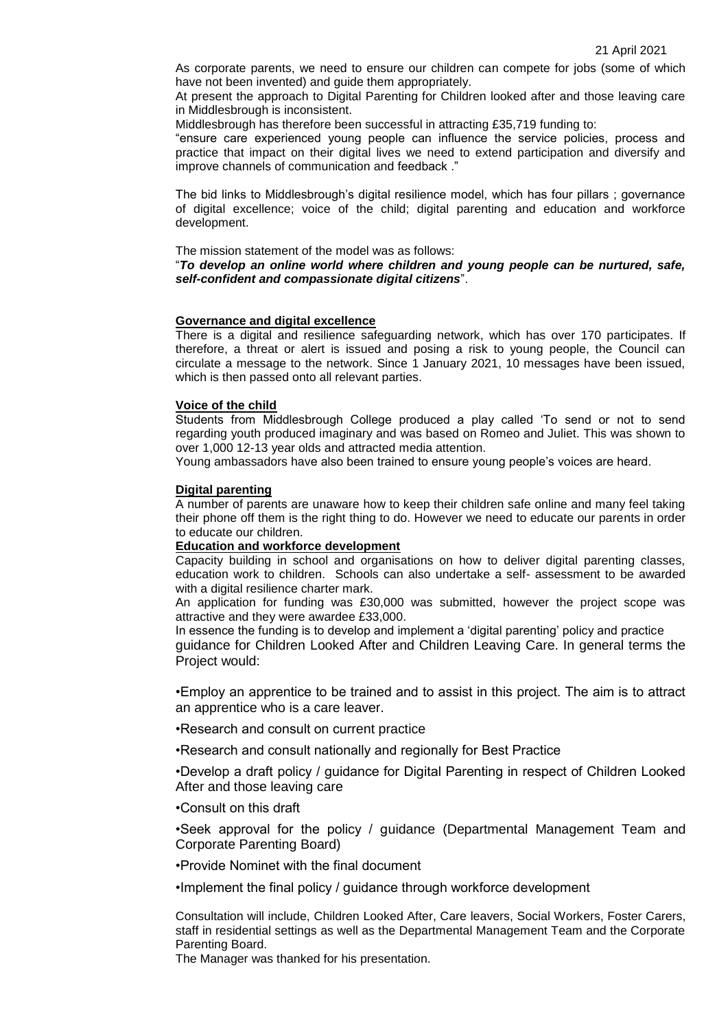As corporate parents, we need to ensure our children can compete for jobs (some of which have not been invented) and guide them appropriately.

At present the approach to Digital Parenting for Children looked after and those leaving care in Middlesbrough is inconsistent.

Middlesbrough has therefore been successful in attracting £35,719 funding to:

"ensure care experienced young people can influence the service policies, process and practice that impact on their digital lives we need to extend participation and diversify and improve channels of communication and feedback ."

The bid links to Middlesbrough's digital resilience model, which has four pillars ; governance of digital excellence; voice of the child; digital parenting and education and workforce development.

The mission statement of the model was as follows:

## "*To develop an online world where children and young people can be nurtured, safe, self-confident and compassionate digital citizens*".

## **Governance and digital excellence**

There is a digital and resilience safeguarding network, which has over 170 participates. If therefore, a threat or alert is issued and posing a risk to young people, the Council can circulate a message to the network. Since 1 January 2021, 10 messages have been issued, which is then passed onto all relevant parties.

# **Voice of the child**

Students from Middlesbrough College produced a play called 'To send or not to send regarding youth produced imaginary and was based on Romeo and Juliet. This was shown to over 1,000 12-13 year olds and attracted media attention.

Young ambassadors have also been trained to ensure young people's voices are heard.

## **Digital parenting**

A number of parents are unaware how to keep their children safe online and many feel taking their phone off them is the right thing to do. However we need to educate our parents in order to educate our children.

## **Education and workforce development**

Capacity building in school and organisations on how to deliver digital parenting classes, education work to children. Schools can also undertake a self- assessment to be awarded with a digital resilience charter mark.

An application for funding was £30,000 was submitted, however the project scope was attractive and they were awardee £33,000.

In essence the funding is to develop and implement a 'digital parenting' policy and practice guidance for Children Looked After and Children Leaving Care. In general terms the Project would:

•Employ an apprentice to be trained and to assist in this project. The aim is to attract an apprentice who is a care leaver.

•Research and consult on current practice

•Research and consult nationally and regionally for Best Practice

•Develop a draft policy / guidance for Digital Parenting in respect of Children Looked After and those leaving care

# •Consult on this draft

•Seek approval for the policy / guidance (Departmental Management Team and Corporate Parenting Board)

•Provide Nominet with the final document

•Implement the final policy / guidance through workforce development

Consultation will include, Children Looked After, Care leavers, Social Workers, Foster Carers, staff in residential settings as well as the Departmental Management Team and the Corporate Parenting Board.

The Manager was thanked for his presentation.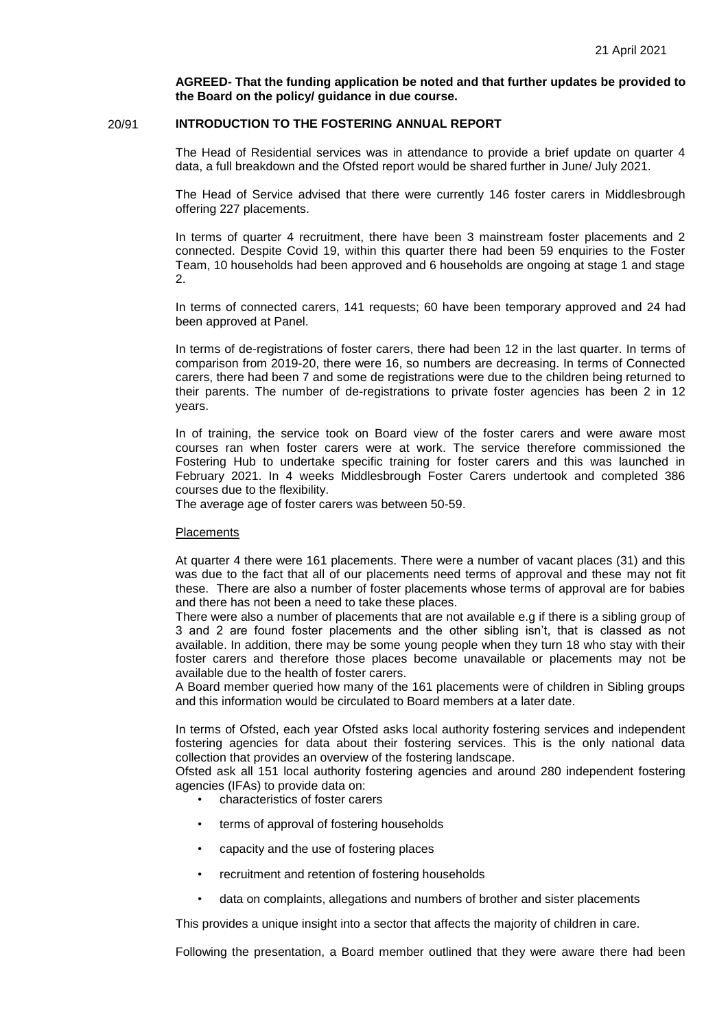**AGREED- That the funding application be noted and that further updates be provided to the Board on the policy/ guidance in due course.**

# 20/91 **INTRODUCTION TO THE FOSTERING ANNUAL REPORT**

The Head of Residential services was in attendance to provide a brief update on quarter 4 data, a full breakdown and the Ofsted report would be shared further in June/ July 2021.

The Head of Service advised that there were currently 146 foster carers in Middlesbrough offering 227 placements.

In terms of quarter 4 recruitment, there have been 3 mainstream foster placements and 2 connected. Despite Covid 19, within this quarter there had been 59 enquiries to the Foster Team, 10 households had been approved and 6 households are ongoing at stage 1 and stage 2.

In terms of connected carers, 141 requests; 60 have been temporary approved and 24 had been approved at Panel.

In terms of de-registrations of foster carers, there had been 12 in the last quarter. In terms of comparison from 2019-20, there were 16, so numbers are decreasing. In terms of Connected carers, there had been 7 and some de registrations were due to the children being returned to their parents. The number of de-registrations to private foster agencies has been 2 in 12 years.

In of training, the service took on Board view of the foster carers and were aware most courses ran when foster carers were at work. The service therefore commissioned the Fostering Hub to undertake specific training for foster carers and this was launched in February 2021. In 4 weeks Middlesbrough Foster Carers undertook and completed 386 courses due to the flexibility.

The average age of foster carers was between 50-59.

## **Placements**

At quarter 4 there were 161 placements. There were a number of vacant places (31) and this was due to the fact that all of our placements need terms of approval and these may not fit these. There are also a number of foster placements whose terms of approval are for babies and there has not been a need to take these places.

There were also a number of placements that are not available e.g if there is a sibling group of 3 and 2 are found foster placements and the other sibling isn't, that is classed as not available. In addition, there may be some young people when they turn 18 who stay with their foster carers and therefore those places become unavailable or placements may not be available due to the health of foster carers.

A Board member queried how many of the 161 placements were of children in Sibling groups and this information would be circulated to Board members at a later date.

In terms of Ofsted, each year Ofsted asks local authority fostering services and independent fostering agencies for data about their fostering services. This is the only national data collection that provides an overview of the fostering landscape.

Ofsted ask all 151 local authority fostering agencies and around 280 independent fostering agencies (IFAs) to provide data on:

- characteristics of foster carers
- terms of approval of fostering households
- capacity and the use of fostering places
- recruitment and retention of fostering households
- data on complaints, allegations and numbers of brother and sister placements

This provides a unique insight into a sector that affects the majority of children in care.

Following the presentation, a Board member outlined that they were aware there had been